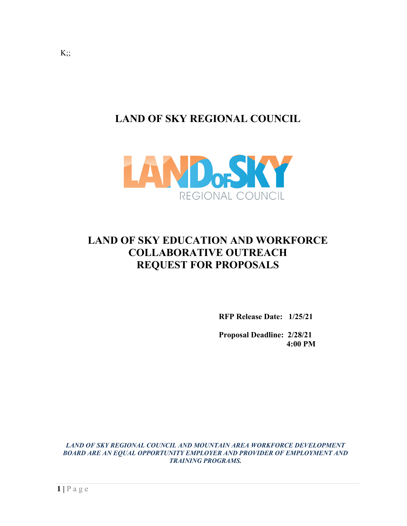**LAND OF SKY REGIONAL COUNCIL**



# **LAND OF SKY EDUCATION AND WORKFORCE COLLABORATIVE OUTREACH REQUEST FOR PROPOSALS**

**RFP Release Date: 1/25/21**

**Proposal Deadline: 2/28/21 4:00 PM**

*LAND OF SKY REGIONAL COUNCIL AND MOUNTAIN AREA WORKFORCE DEVELOPMENT BOARD ARE AN EQUAL OPPORTUNITY EMPLOYER AND PROVIDER OF EMPLOYMENT AND TRAINING PROGRAMS.*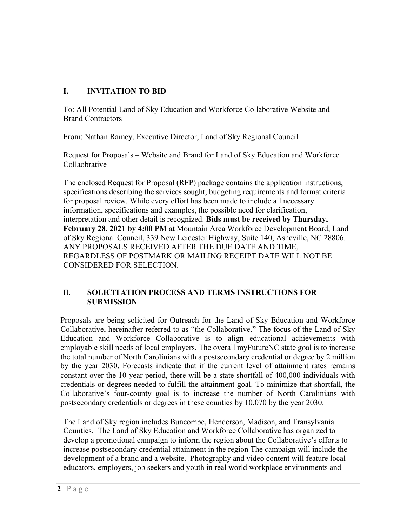## **I. INVITATION TO BID**

To: All Potential Land of Sky Education and Workforce Collaborative Website and Brand Contractors

From: Nathan Ramey, Executive Director, Land of Sky Regional Council

Request for Proposals – Website and Brand for Land of Sky Education and Workforce Collaobrative

The enclosed Request for Proposal (RFP) package contains the application instructions, specifications describing the services sought, budgeting requirements and format criteria for proposal review. While every effort has been made to include all necessary information, specifications and examples, the possible need for clarification, interpretation and other detail is recognized. **Bids must be received by Thursday, February 28, 2021 by 4:00 PM** at Mountain Area Workforce Development Board, Land of Sky Regional Council, 339 New Leicester Highway, Suite 140, Asheville, NC 28806. ANY PROPOSALS RECEIVED AFTER THE DUE DATE AND TIME, REGARDLESS OF POSTMARK OR MAILING RECEIPT DATE WILL NOT BE CONSIDERED FOR SELECTION.

#### II. **SOLICITATION PROCESS AND TERMS INSTRUCTIONS FOR SUBMISSION**

Proposals are being solicited for Outreach for the Land of Sky Education and Workforce Collaborative, hereinafter referred to as "the Collaborative." The focus of the Land of Sky Education and Workforce Collaborative is to align educational achievements with employable skill needs of local employers. The overall myFutureNC state goal is to increase the total number of North Carolinians with a postsecondary credential or degree by 2 million by the year 2030. Forecasts indicate that if the current level of attainment rates remains constant over the 10-year period, there will be a state shortfall of 400,000 individuals with credentials or degrees needed to fulfill the attainment goal. To minimize that shortfall, the Collaborative's four-county goal is to increase the number of North Carolinians with postsecondary credentials or degrees in these counties by 10,070 by the year 2030.

The Land of Sky region includes Buncombe, Henderson, Madison, and Transylvania Counties. The Land of Sky Education and Workforce Collaborative has organized to develop a promotional campaign to inform the region about the Collaborative's efforts to increase postsecondary credential attainment in the region The campaign will include the development of a brand and a website. Photography and video content will feature local educators, employers, job seekers and youth in real world workplace environments and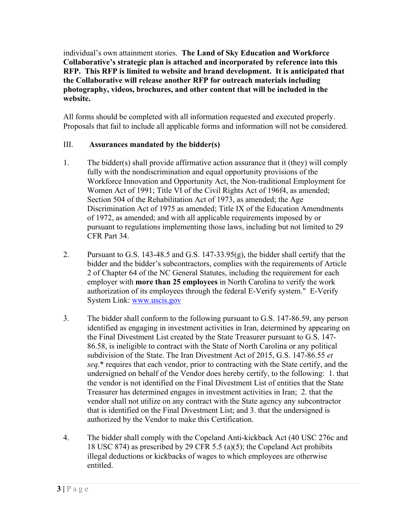individual's own attainment stories. **The Land of Sky Education and Workforce Collaborative's strategic plan is attached and incorporated by reference into this RFP. This RFP is limited to website and brand development. It is anticipated that the Collaborative will release another RFP for outreach materials including photography, videos, brochures, and other content that will be included in the website.** 

All forms should be completed with all information requested and executed properly. Proposals that fail to include all applicable forms and information will not be considered.

### III. **Assurances mandated by the bidder(s)**

- 1. The bidder(s) shall provide affirmative action assurance that it (they) will comply fully with the nondiscrimination and equal opportunity provisions of the Workforce Innovation and Opportunity Act, the Non-traditional Employment for Women Act of 1991; Title VI of the Civil Rights Act of 196f4, as amended; Section 504 of the Rehabilitation Act of 1973, as amended; the Age Discrimination Act of 1975 as amended; Title IX of the Education Amendments of 1972, as amended; and with all applicable requirements imposed by or pursuant to regulations implementing those laws, including but not limited to 29 CFR Part 34.
- 2. Pursuant to G.S. 143-48.5 and G.S. 147-33.95(g), the bidder shall certify that the bidder and the bidder's subcontractors, complies with the requirements of Article 2 of Chapter 64 of the NC General Statutes, including the requirement for each employer with **more than 25 employees** in North Carolina to verify the work authorization of its employees through the federal E-Verify system." E-Verify System Link: www.uscis.gov
- 3. The bidder shall conform to the following pursuant to G.S. 147-86.59, any person identified as engaging in investment activities in Iran, determined by appearing on the Final Divestment List created by the State Treasurer pursuant to G.S. 147- 86.58, is ineligible to contract with the State of North Carolina or any political subdivision of the State. The Iran Divestment Act of 2015, G.S. 147-86.55 *et seq*.\* requires that each vendor, prior to contracting with the State certify, and the undersigned on behalf of the Vendor does hereby certify, to the following: 1. that the vendor is not identified on the Final Divestment List of entities that the State Treasurer has determined engages in investment activities in Iran; 2. that the vendor shall not utilize on any contract with the State agency any subcontractor that is identified on the Final Divestment List; and 3. that the undersigned is authorized by the Vendor to make this Certification.
- 4. The bidder shall comply with the Copeland Anti-kickback Act (40 USC 276c and 18 USC 874) as prescribed by 29 CFR 5.5 (a)(5); the Copeland Act prohibits illegal deductions or kickbacks of wages to which employees are otherwise entitled.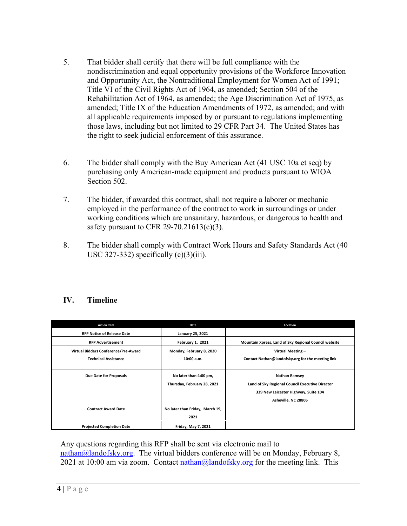- 5. That bidder shall certify that there will be full compliance with the nondiscrimination and equal opportunity provisions of the Workforce Innovation and Opportunity Act, the Nontraditional Employment for Women Act of 1991; Title VI of the Civil Rights Act of 1964, as amended; Section 504 of the Rehabilitation Act of 1964, as amended; the Age Discrimination Act of 1975, as amended; Title IX of the Education Amendments of 1972, as amended; and with all applicable requirements imposed by or pursuant to regulations implementing those laws, including but not limited to 29 CFR Part 34. The United States has the right to seek judicial enforcement of this assurance.
- 6. The bidder shall comply with the Buy American Act (41 USC 10a et seq) by purchasing only American-made equipment and products pursuant to WIOA Section 502.
- 7. The bidder, if awarded this contract, shall not require a laborer or mechanic employed in the performance of the contract to work in surroundings or under working conditions which are unsanitary, hazardous, or dangerous to health and safety pursuant to CFR 29-70.21613(c)(3).
- 8. The bidder shall comply with Contract Work Hours and Safety Standards Act (40 USC 327-332) specifically  $(c)(3)(iii)$ .

| <b>Action Item</b>                   | Date                            | Location                                              |
|--------------------------------------|---------------------------------|-------------------------------------------------------|
| <b>RFP Notice of Release Date</b>    | <b>January 25, 2021</b>         |                                                       |
| <b>RFP Advertisement</b>             | February 1, 2021                | Mountain Xpress, Land of Sky Regional Council website |
| Virtual Bidders Conference/Pre-Award | Monday, February 8, 2020        | Virtual Meeting -                                     |
| <b>Technical Assistance</b>          | 10:00 a.m.                      | Contact Nathan@landofsky.org for the meeting link     |
|                                      |                                 |                                                       |
| Due Date for Proposals               | No later than 4:00 pm,          | <b>Nathan Ramsey</b>                                  |
|                                      | Thursday, February 28, 2021     | Land of Sky Regional Council Executive Director       |
|                                      |                                 | 339 New Leicester Highway, Suite 104                  |
|                                      |                                 | Asheville, NC 28806                                   |
| <b>Contract Award Date</b>           | No later than Friday, March 19, |                                                       |
|                                      | 2021                            |                                                       |
| <b>Projected Completion Date</b>     | Friday, May 7, 2021             |                                                       |

Any questions regarding this RFP shall be sent via electronic mail to  $\text{mathan}(\widehat{\omega})$  and of sky.org. The virtual bidders conference will be on Monday, February 8, 2021 at 10:00 am via zoom. Contact  $\frac{\text{n} \cdot \text{d} \cdot \text{d} \cdot \text{d} \cdot \text{d} \cdot \text{d} \cdot \text{d} \cdot \text{d} \cdot \text{d} \cdot \text{d} \cdot \text{d} \cdot \text{d} \cdot \text{d} \cdot \text{d} \cdot \text{d} \cdot \text{d} \cdot \text{d} \cdot \text{d} \cdot \text{d} \cdot \text{d} \cdot \text{d} \cdot \text{d} \cdot \text{d} \cdot \text{d} \cdot \text{d} \cdot \text{d} \cdot \$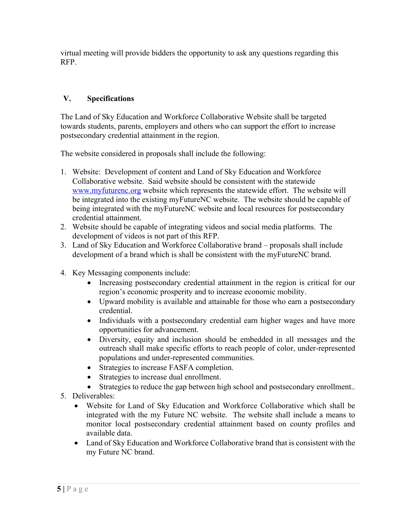virtual meeting will provide bidders the opportunity to ask any questions regarding this RFP.

#### **V. Specifications**

The Land of Sky Education and Workforce Collaborative Website shall be targeted towards students, parents, employers and others who can support the effort to increase postsecondary credential attainment in the region.

The website considered in proposals shall include the following:

- 1. Website: Development of content and Land of Sky Education and Workforce Collaborative website. Said website should be consistent with the statewide www.myfuturenc.org website which represents the statewide effort. The website will be integrated into the existing myFutureNC website. The website should be capable of being integrated with the myFutureNC website and local resources for postsecondary credential attainment.
- 2. Website should be capable of integrating videos and social media platforms. The development of videos is not part of this RFP.
- 3. Land of Sky Education and Workforce Collaborative brand proposals shall include development of a brand which is shall be consistent with the myFutureNC brand.
- 4. Key Messaging components include:
	- Increasing postsecondary credential attainment in the region is critical for our region's economic prosperity and to increase economic mobility.
	- Upward mobility is available and attainable for those who earn a postsecondary credential.
	- Individuals with a postsecondary credential earn higher wages and have more opportunities for advancement.
	- Diversity, equity and inclusion should be embedded in all messages and the outreach shall make specific efforts to reach people of color, under-represented populations and under-represented communities.
	- Strategies to increase FASFA completion.
	- Strategies to increase dual enrollment.
	- Strategies to reduce the gap between high school and postsecondary enrollment..
- 5. Deliverables:
	- Website for Land of Sky Education and Workforce Collaborative which shall be integrated with the my Future NC website. The website shall include a means to monitor local postsecondary credential attainment based on county profiles and available data.
	- Land of Sky Education and Workforce Collaborative brand that is consistent with the my Future NC brand.